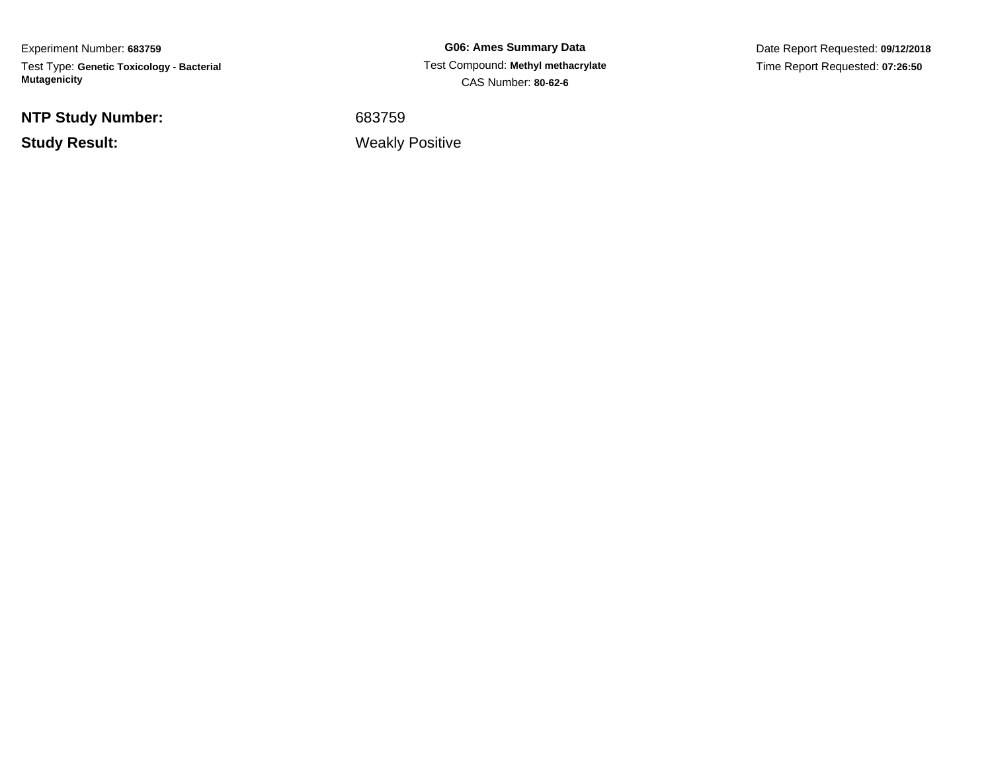Experiment Number: **683759**Test Type: **Genetic Toxicology - Bacterial Mutagenicity**

**NTP Study Number:**

**Study Result:**

**G06: Ames Summary Data** Test Compound: **Methyl methacrylate**CAS Number: **80-62-6**

Date Report Requested: **09/12/2018**Time Report Requested: **07:26:50**

<sup>683759</sup>

Weakly Positive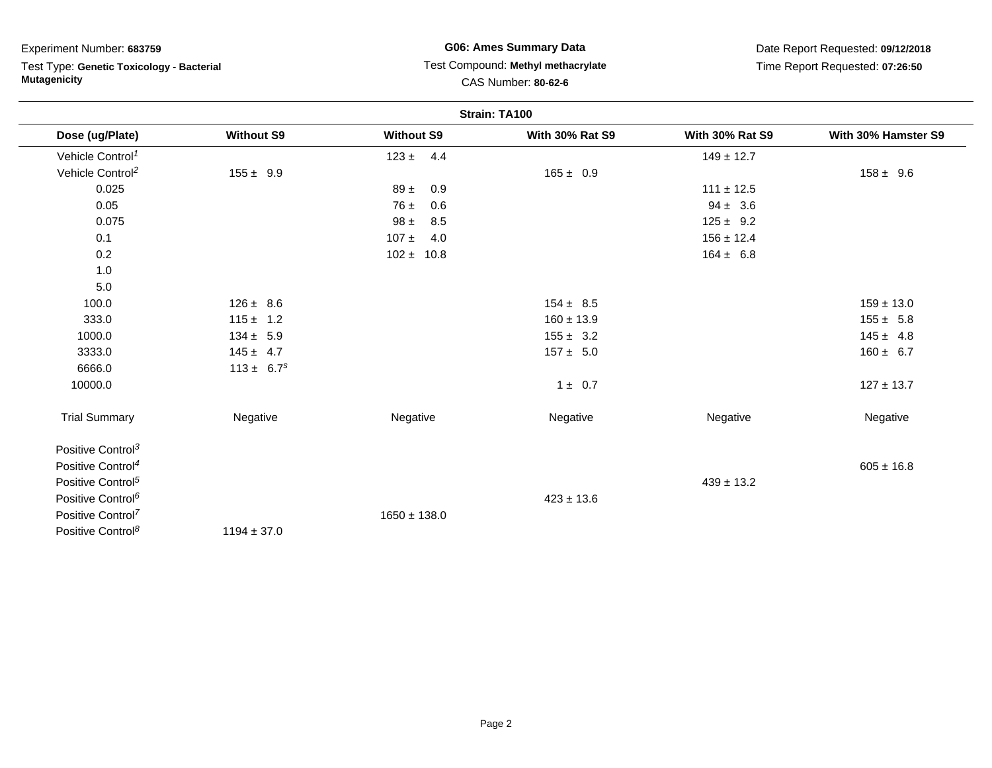Test Type: **Genetic Toxicology - Bacterial Mutagenicity**

# **G06: Ames Summary Data** Test Compound: **Methyl methacrylate**CAS Number: **80-62-6**

|                               |                   |                   | Strain: TA100          |                        |                     |
|-------------------------------|-------------------|-------------------|------------------------|------------------------|---------------------|
| Dose (ug/Plate)               | <b>Without S9</b> | <b>Without S9</b> | <b>With 30% Rat S9</b> | <b>With 30% Rat S9</b> | With 30% Hamster S9 |
| Vehicle Control <sup>1</sup>  |                   | $123 \pm 4.4$     |                        | $149 \pm 12.7$         |                     |
| Vehicle Control <sup>2</sup>  | $155 \pm 9.9$     |                   | $165 \pm 0.9$          |                        | $158 \pm 9.6$       |
| 0.025                         |                   | 0.9<br>$89 \pm$   |                        | $111 \pm 12.5$         |                     |
| 0.05                          |                   | $76 \pm$<br>0.6   |                        | $94 \pm 3.6$           |                     |
| 0.075                         |                   | $98 \pm$<br>8.5   |                        | $125 \pm 9.2$          |                     |
| 0.1                           |                   | $107 \pm 4.0$     |                        | $156 \pm 12.4$         |                     |
| 0.2                           |                   | $102 \pm 10.8$    |                        | $164 \pm 6.8$          |                     |
| 1.0                           |                   |                   |                        |                        |                     |
| 5.0                           |                   |                   |                        |                        |                     |
| 100.0                         | $126 \pm 8.6$     |                   | $154 \pm 8.5$          |                        | $159 \pm 13.0$      |
| 333.0                         | $115 \pm 1.2$     |                   | $160 \pm 13.9$         |                        | $155 \pm 5.8$       |
| 1000.0                        | $134 \pm 5.9$     |                   | $155 \pm 3.2$          |                        | $145 \pm 4.8$       |
| 3333.0                        | $145 \pm 4.7$     |                   | $157 \pm 5.0$          |                        | $160 \pm 6.7$       |
| 6666.0                        | $113 \pm 6.7^s$   |                   |                        |                        |                     |
| 10000.0                       |                   |                   | $1 \pm 0.7$            |                        | $127 \pm 13.7$      |
| <b>Trial Summary</b>          | Negative          | Negative          | Negative               | Negative               | Negative            |
| Positive Control <sup>3</sup> |                   |                   |                        |                        |                     |
| Positive Control <sup>4</sup> |                   |                   |                        |                        | $605 \pm 16.8$      |
| Positive Control <sup>5</sup> |                   |                   |                        | $439 \pm 13.2$         |                     |
| Positive Control <sup>6</sup> |                   |                   | $423 \pm 13.6$         |                        |                     |
| Positive Control <sup>7</sup> |                   | $1650 \pm 138.0$  |                        |                        |                     |
| Positive Control <sup>8</sup> | $1194 \pm 37.0$   |                   |                        |                        |                     |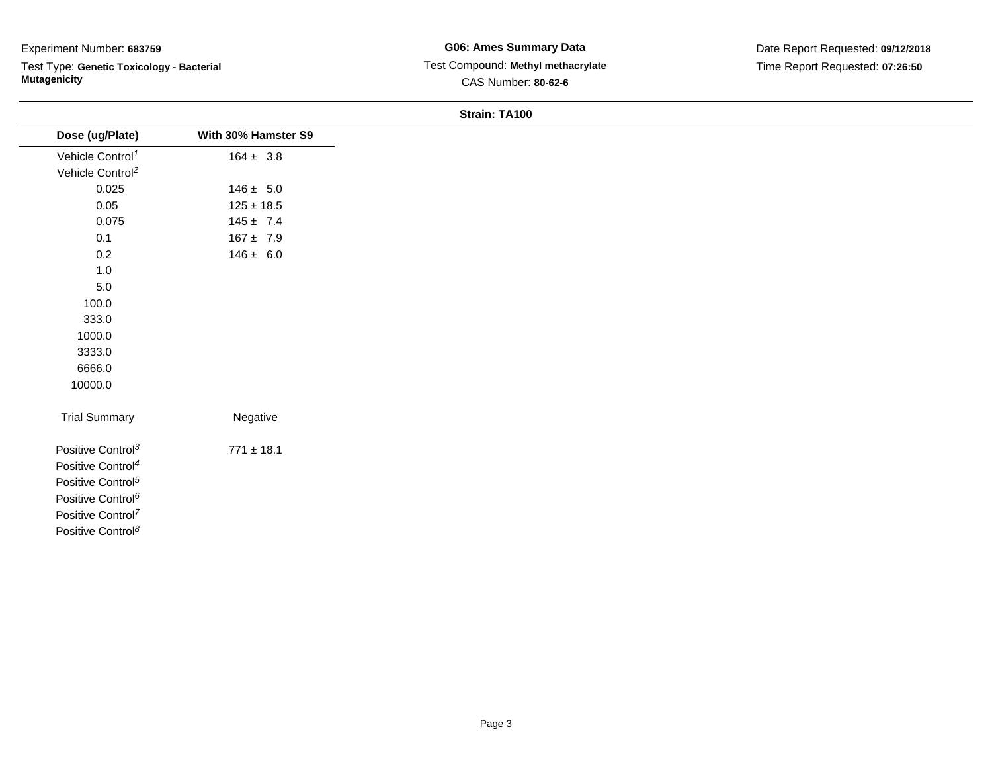Test Type: **Genetic Toxicology - Bacterial Mutagenicity**

### **Strain: TA100**

| Dose (ug/Plate)               | With 30% Hamster S9 |
|-------------------------------|---------------------|
| Vehicle Control <sup>1</sup>  | $164 \pm 3.8$       |
| Vehicle Control <sup>2</sup>  |                     |
| 0.025                         | $146 \pm 5.0$       |
| 0.05                          | $125 \pm 18.5$      |
| 0.075                         | $145 \pm 7.4$       |
| 0.1                           | $167 \pm 7.9$       |
| 0.2                           | $146 \pm 6.0$       |
| 1.0                           |                     |
| $5.0\,$                       |                     |
| 100.0                         |                     |
| 333.0                         |                     |
| 1000.0                        |                     |
| 3333.0                        |                     |
| 6666.0                        |                     |
| 10000.0                       |                     |
| <b>Trial Summary</b>          | Negative            |
| Positive Control <sup>3</sup> | $771 \pm 18.1$      |
| Positive Control <sup>4</sup> |                     |
| Positive Control <sup>5</sup> |                     |
| Positive Control <sup>6</sup> |                     |
| Positive Control <sup>7</sup> |                     |
| Positive Control <sup>8</sup> |                     |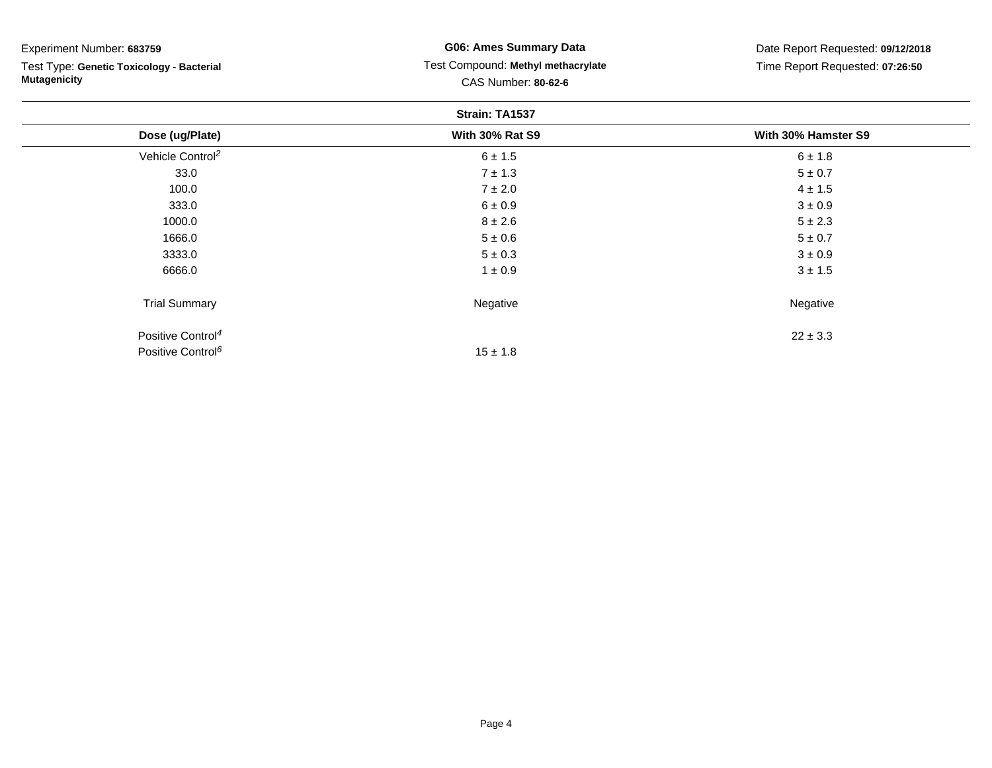Test Type: **Genetic Toxicology - Bacterial Mutagenicity**

# **G06: Ames Summary Data** Test Compound: **Methyl methacrylate**CAS Number: **80-62-6**

|                               | Strain: TA1537         |                     |
|-------------------------------|------------------------|---------------------|
| Dose (ug/Plate)               | <b>With 30% Rat S9</b> | With 30% Hamster S9 |
| Vehicle Control <sup>2</sup>  | $6 \pm 1.5$            | $6 \pm 1.8$         |
| 33.0                          | $7 \pm 1.3$            | $5 \pm 0.7$         |
| 100.0                         | $7 \pm 2.0$            | $4 \pm 1.5$         |
| 333.0                         | $6 \pm 0.9$            | $3\pm0.9$           |
| 1000.0                        | $8 \pm 2.6$            | $5 \pm 2.3$         |
| 1666.0                        | $5 \pm 0.6$            | $5 \pm 0.7$         |
| 3333.0                        | $5 \pm 0.3$            | $3 \pm 0.9$         |
| 6666.0                        | $1 \pm 0.9$            | $3 \pm 1.5$         |
| <b>Trial Summary</b>          | Negative               | Negative            |
| Positive Control <sup>4</sup> |                        | $22 \pm 3.3$        |
| Positive Control <sup>6</sup> | $15 \pm 1.8$           |                     |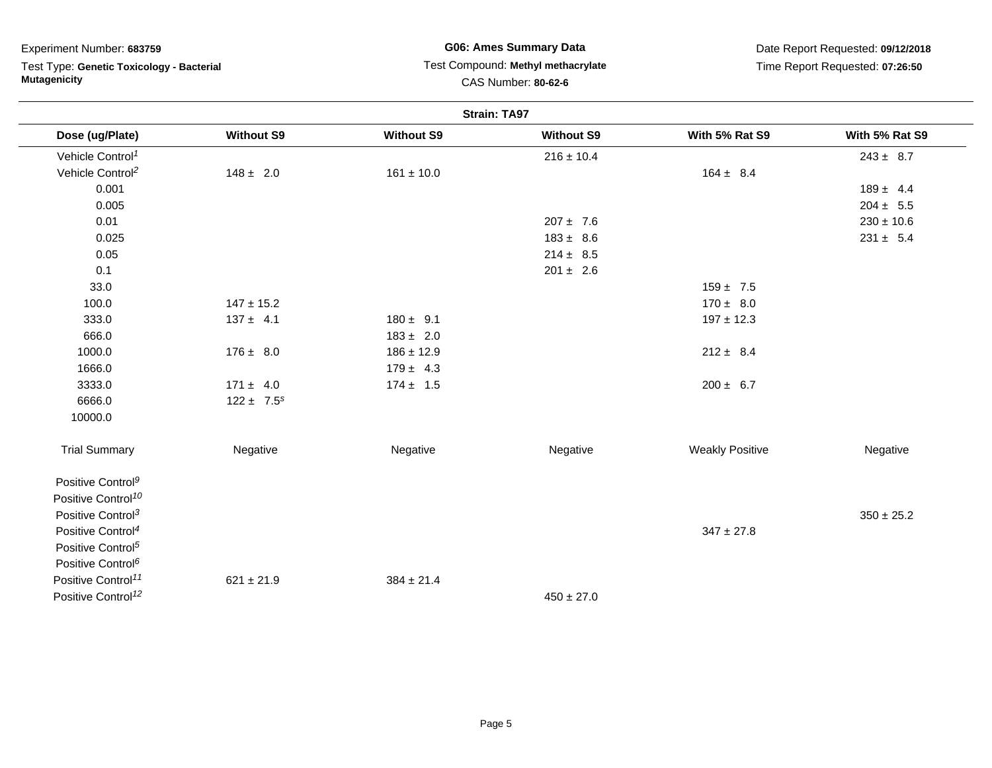Test Type: **Genetic Toxicology - Bacterial Mutagenicity**

## **G06: Ames Summary Data** Test Compound: **Methyl methacrylate**CAS Number: **80-62-6**

|                                |                   |                   | <b>Strain: TA97</b> |                        |                |
|--------------------------------|-------------------|-------------------|---------------------|------------------------|----------------|
| Dose (ug/Plate)                | <b>Without S9</b> | <b>Without S9</b> | <b>Without S9</b>   | With 5% Rat S9         | With 5% Rat S9 |
| Vehicle Control <sup>1</sup>   |                   |                   | $216 \pm 10.4$      |                        | $243 \pm 8.7$  |
| Vehicle Control <sup>2</sup>   | $148 \pm 2.0$     | $161 \pm 10.0$    |                     | $164 \pm 8.4$          |                |
| 0.001                          |                   |                   |                     |                        | $189 \pm 4.4$  |
| 0.005                          |                   |                   |                     |                        | $204 \pm 5.5$  |
| 0.01                           |                   |                   | $207 \pm 7.6$       |                        | $230 \pm 10.6$ |
| 0.025                          |                   |                   | $183 \pm 8.6$       |                        | $231 \pm 5.4$  |
| 0.05                           |                   |                   | $214 \pm 8.5$       |                        |                |
| 0.1                            |                   |                   | $201 \pm 2.6$       |                        |                |
| 33.0                           |                   |                   |                     | $159 \pm 7.5$          |                |
| 100.0                          | $147 \pm 15.2$    |                   |                     | $170 \pm 8.0$          |                |
| 333.0                          | $137 \pm 4.1$     | $180 \pm 9.1$     |                     | $197 \pm 12.3$         |                |
| 666.0                          |                   | $183 \pm 2.0$     |                     |                        |                |
| 1000.0                         | $176 \pm 8.0$     | $186 \pm 12.9$    |                     | $212 \pm 8.4$          |                |
| 1666.0                         |                   | $179 \pm 4.3$     |                     |                        |                |
| 3333.0                         | $171 \pm 4.0$     | $174 \pm 1.5$     |                     | $200 \pm 6.7$          |                |
| 6666.0                         | $122 \pm 7.5^s$   |                   |                     |                        |                |
| 10000.0                        |                   |                   |                     |                        |                |
| <b>Trial Summary</b>           | Negative          | Negative          | Negative            | <b>Weakly Positive</b> | Negative       |
| Positive Control <sup>9</sup>  |                   |                   |                     |                        |                |
| Positive Control <sup>10</sup> |                   |                   |                     |                        |                |
| Positive Control <sup>3</sup>  |                   |                   |                     |                        | $350 \pm 25.2$ |
| Positive Control <sup>4</sup>  |                   |                   |                     | $347 \pm 27.8$         |                |
| Positive Control <sup>5</sup>  |                   |                   |                     |                        |                |
| Positive Control <sup>6</sup>  |                   |                   |                     |                        |                |
| Positive Control <sup>11</sup> | $621 \pm 21.9$    | $384 \pm 21.4$    |                     |                        |                |
| Positive Control <sup>12</sup> |                   |                   | $450 \pm 27.0$      |                        |                |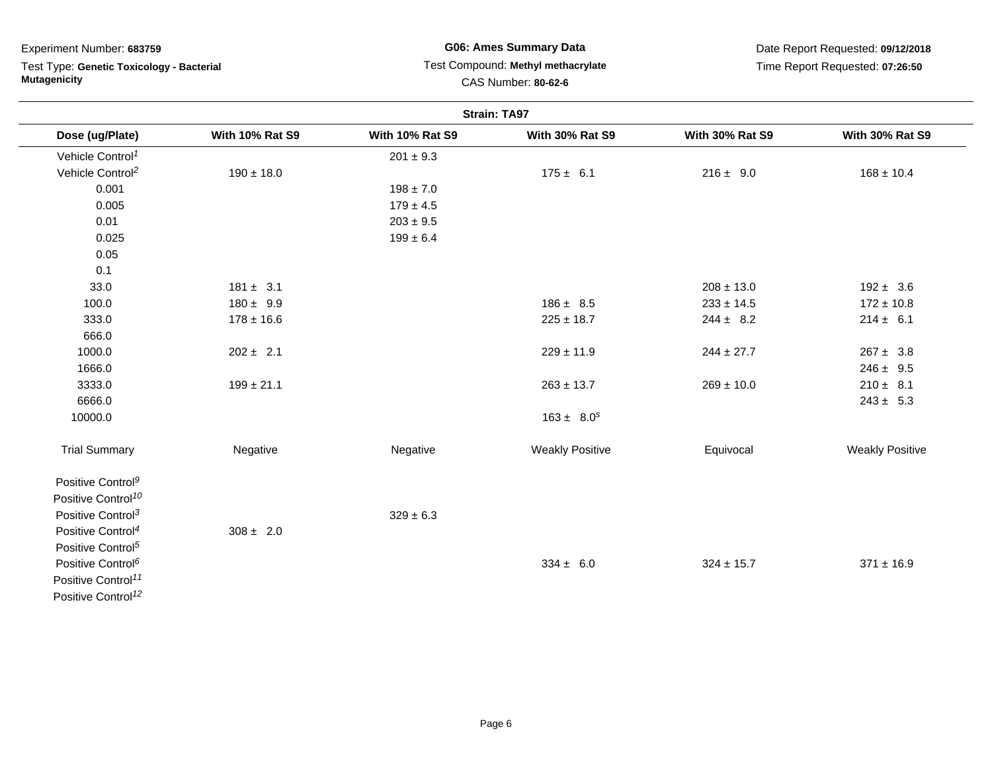Test Type: **Genetic Toxicology - Bacterial Mutagenicity**

**G06: Ames Summary Data** Test Compound: **Methyl methacrylate**CAS Number: **80-62-6**

|                                |                        |                        | <b>Strain: TA97</b>    |                        |                        |
|--------------------------------|------------------------|------------------------|------------------------|------------------------|------------------------|
| Dose (ug/Plate)                | <b>With 10% Rat S9</b> | <b>With 10% Rat S9</b> | <b>With 30% Rat S9</b> | <b>With 30% Rat S9</b> | <b>With 30% Rat S9</b> |
| Vehicle Control <sup>1</sup>   |                        | $201 \pm 9.3$          |                        |                        |                        |
| Vehicle Control <sup>2</sup>   | $190 \pm 18.0$         |                        | $175 \pm 6.1$          | $216 \pm 9.0$          | $168 \pm 10.4$         |
| 0.001                          |                        | $198 \pm 7.0$          |                        |                        |                        |
| 0.005                          |                        | $179 \pm 4.5$          |                        |                        |                        |
| 0.01                           |                        | $203 \pm 9.5$          |                        |                        |                        |
| 0.025                          |                        | $199 \pm 6.4$          |                        |                        |                        |
| 0.05                           |                        |                        |                        |                        |                        |
| 0.1                            |                        |                        |                        |                        |                        |
| 33.0                           | $181 \pm 3.1$          |                        |                        | $208 \pm 13.0$         | $192 \pm 3.6$          |
| 100.0                          | $180 \pm 9.9$          |                        | $186 \pm 8.5$          | $233 \pm 14.5$         | $172 \pm 10.8$         |
| 333.0                          | $178 \pm 16.6$         |                        | $225 \pm 18.7$         | $244 \pm 8.2$          | $214 \pm 6.1$          |
| 666.0                          |                        |                        |                        |                        |                        |
| 1000.0                         | $202 \pm 2.1$          |                        | $229 \pm 11.9$         | $244 \pm 27.7$         | $267 \pm 3.8$          |
| 1666.0                         |                        |                        |                        |                        | $246 \pm 9.5$          |
| 3333.0                         | $199 \pm 21.1$         |                        | $263 \pm 13.7$         | $269 \pm 10.0$         | $210 \pm 8.1$          |
| 6666.0                         |                        |                        |                        |                        | $243 \pm 5.3$          |
| 10000.0                        |                        |                        | $163 \pm 8.0^s$        |                        |                        |
| <b>Trial Summary</b>           | Negative               | Negative               | <b>Weakly Positive</b> | Equivocal              | <b>Weakly Positive</b> |
| Positive Control <sup>9</sup>  |                        |                        |                        |                        |                        |
| Positive Control <sup>10</sup> |                        |                        |                        |                        |                        |
| Positive Control <sup>3</sup>  |                        | $329 \pm 6.3$          |                        |                        |                        |
| Positive Control <sup>4</sup>  | $308 \pm 2.0$          |                        |                        |                        |                        |
| Positive Control <sup>5</sup>  |                        |                        |                        |                        |                        |
| Positive Control <sup>6</sup>  |                        |                        | $334 \pm 6.0$          | $324 \pm 15.7$         | $371 \pm 16.9$         |
| Positive Control <sup>11</sup> |                        |                        |                        |                        |                        |
| Positive Control <sup>12</sup> |                        |                        |                        |                        |                        |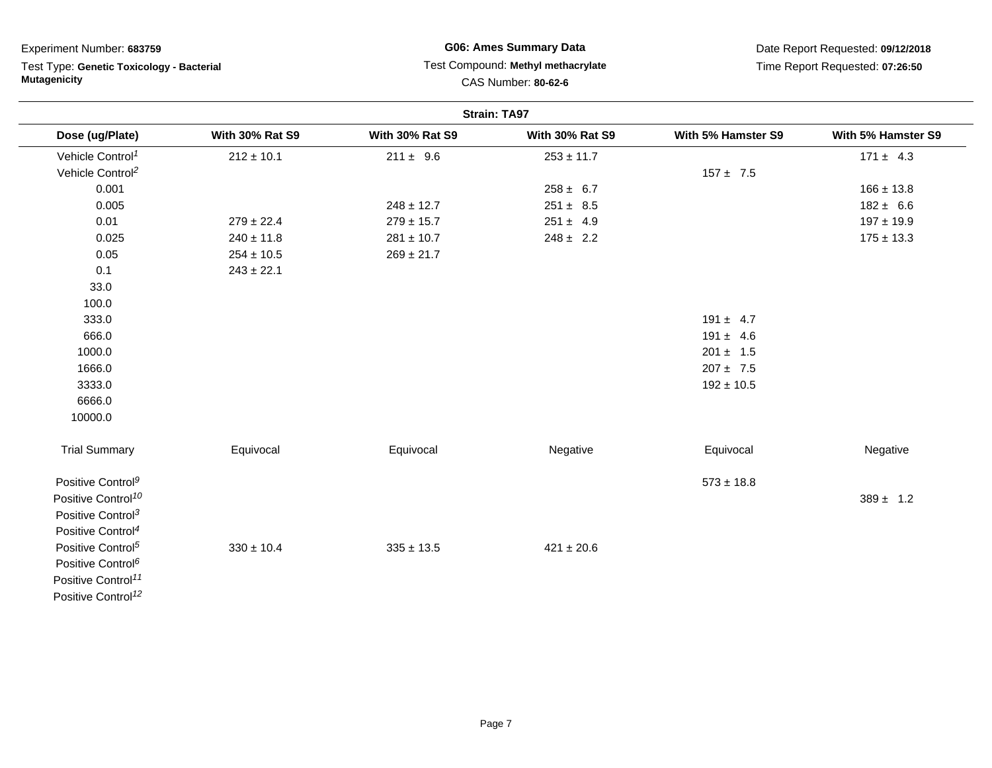Test Type: **Genetic Toxicology - Bacterial Mutagenicity**

# **G06: Ames Summary Data** Test Compound: **Methyl methacrylate**CAS Number: **80-62-6**

|                                |                        |                        | <b>Strain: TA97</b>    |                    |                    |
|--------------------------------|------------------------|------------------------|------------------------|--------------------|--------------------|
| Dose (ug/Plate)                | <b>With 30% Rat S9</b> | <b>With 30% Rat S9</b> | <b>With 30% Rat S9</b> | With 5% Hamster S9 | With 5% Hamster S9 |
| Vehicle Control <sup>1</sup>   | $212 \pm 10.1$         | $211 \pm 9.6$          | $253 \pm 11.7$         |                    | $171 \pm 4.3$      |
| Vehicle Control <sup>2</sup>   |                        |                        |                        | $157 \pm 7.5$      |                    |
| 0.001                          |                        |                        | $258 \pm 6.7$          |                    | $166 \pm 13.8$     |
| 0.005                          |                        | $248 \pm 12.7$         | $251 \pm 8.5$          |                    | $182 \pm 6.6$      |
| 0.01                           | $279 \pm 22.4$         | $279 \pm 15.7$         | $251 \pm 4.9$          |                    | $197 \pm 19.9$     |
| 0.025                          | $240 \pm 11.8$         | $281 \pm 10.7$         | $248 \pm 2.2$          |                    | $175 \pm 13.3$     |
| 0.05                           | $254 \pm 10.5$         | $269 \pm 21.7$         |                        |                    |                    |
| 0.1                            | $243 \pm 22.1$         |                        |                        |                    |                    |
| 33.0                           |                        |                        |                        |                    |                    |
| 100.0                          |                        |                        |                        |                    |                    |
| 333.0                          |                        |                        |                        | $191 \pm 4.7$      |                    |
| 666.0                          |                        |                        |                        | $191 \pm 4.6$      |                    |
| 1000.0                         |                        |                        |                        | $201 \pm 1.5$      |                    |
| 1666.0                         |                        |                        |                        | $207 \pm 7.5$      |                    |
| 3333.0                         |                        |                        |                        | $192 \pm 10.5$     |                    |
| 6666.0                         |                        |                        |                        |                    |                    |
| 10000.0                        |                        |                        |                        |                    |                    |
| <b>Trial Summary</b>           | Equivocal              | Equivocal              | Negative               | Equivocal          | Negative           |
| Positive Control <sup>9</sup>  |                        |                        |                        | $573 \pm 18.8$     |                    |
| Positive Control <sup>10</sup> |                        |                        |                        |                    | $389 \pm 1.2$      |
| Positive Control <sup>3</sup>  |                        |                        |                        |                    |                    |
| Positive Control <sup>4</sup>  |                        |                        |                        |                    |                    |
| Positive Control <sup>5</sup>  | $330 \pm 10.4$         | $335 \pm 13.5$         | $421 \pm 20.6$         |                    |                    |
| Positive Control <sup>6</sup>  |                        |                        |                        |                    |                    |
| Positive Control <sup>11</sup> |                        |                        |                        |                    |                    |
| Positive Control <sup>12</sup> |                        |                        |                        |                    |                    |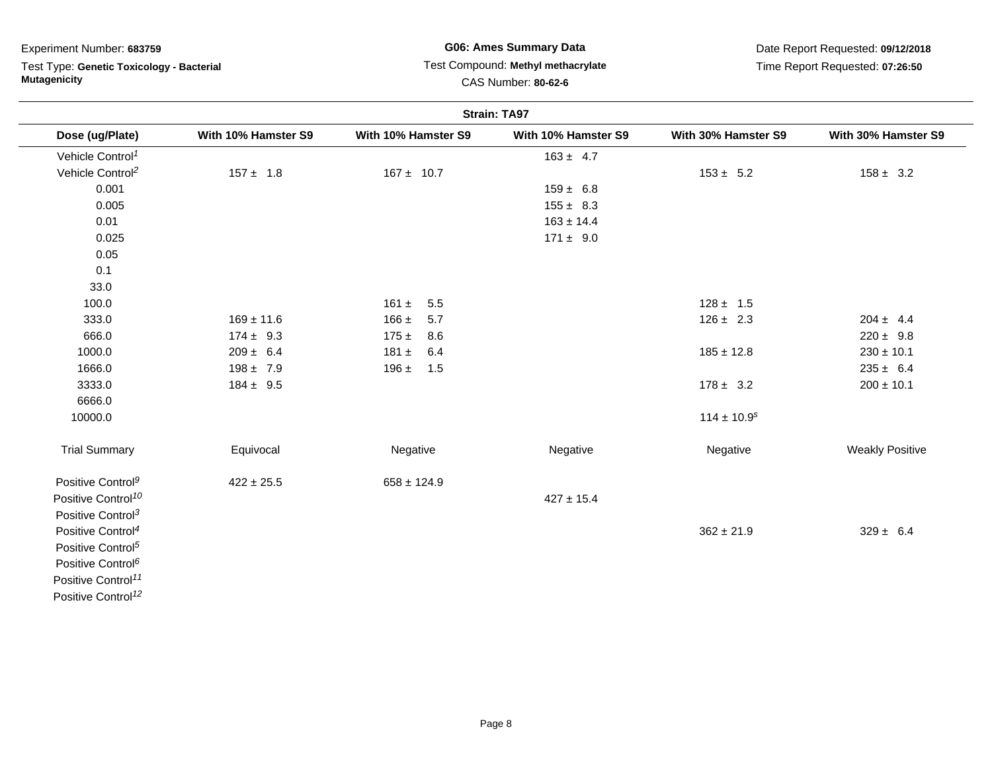# Test Type: **Genetic Toxicology - Bacterial Mutagenicity**

# **G06: Ames Summary Data**Test Compound: **Methyl methacrylate**

Date Report Requested: **09/12/2018**Time Report Requested: **07:26:50**

CAS Number: **80-62-6**

|                                |                     |                     | <b>Strain: TA97</b> |                             |                        |
|--------------------------------|---------------------|---------------------|---------------------|-----------------------------|------------------------|
| Dose (ug/Plate)                | With 10% Hamster S9 | With 10% Hamster S9 | With 10% Hamster S9 | With 30% Hamster S9         | With 30% Hamster S9    |
| Vehicle Control <sup>1</sup>   |                     |                     | $163 \pm 4.7$       |                             |                        |
| Vehicle Control <sup>2</sup>   | $157 \pm 1.8$       | $167 \pm 10.7$      |                     | $153 \pm 5.2$               | $158 \pm 3.2$          |
| 0.001                          |                     |                     | $159 \pm 6.8$       |                             |                        |
| 0.005                          |                     |                     | $155 \pm 8.3$       |                             |                        |
| 0.01                           |                     |                     | $163 \pm 14.4$      |                             |                        |
| 0.025                          |                     |                     | $171 \pm 9.0$       |                             |                        |
| 0.05                           |                     |                     |                     |                             |                        |
| 0.1                            |                     |                     |                     |                             |                        |
| 33.0                           |                     |                     |                     |                             |                        |
| 100.0                          |                     | $161 \pm 5.5$       |                     | $128 \pm 1.5$               |                        |
| 333.0                          | $169 \pm 11.6$      | $166 \pm 5.7$       |                     | $126 \pm 2.3$               | $204 \pm 4.4$          |
| 666.0                          | $174 \pm 9.3$       | $175 \pm 8.6$       |                     |                             | $220 \pm 9.8$          |
| 1000.0                         | $209 \pm 6.4$       | 6.4<br>181 $\pm$    |                     | $185 \pm 12.8$              | $230 \pm 10.1$         |
| 1666.0                         | $198 \pm 7.9$       | $196 \pm 1.5$       |                     |                             | $235 \pm 6.4$          |
| 3333.0                         | $184 \pm 9.5$       |                     |                     | $178 \pm 3.2$               | $200 \pm 10.1$         |
| 6666.0                         |                     |                     |                     |                             |                        |
| 10000.0                        |                     |                     |                     | $114 \pm 10.9$ <sup>s</sup> |                        |
| <b>Trial Summary</b>           | Equivocal           | Negative            | Negative            | Negative                    | <b>Weakly Positive</b> |
| Positive Control <sup>9</sup>  | $422 \pm 25.5$      | $658 \pm 124.9$     |                     |                             |                        |
| Positive Control <sup>10</sup> |                     |                     | $427 \pm 15.4$      |                             |                        |
| Positive Control <sup>3</sup>  |                     |                     |                     |                             |                        |
| Positive Control <sup>4</sup>  |                     |                     |                     | $362 \pm 21.9$              | $329 \pm 6.4$          |
| Positive Control <sup>5</sup>  |                     |                     |                     |                             |                        |
| Positive Control <sup>6</sup>  |                     |                     |                     |                             |                        |
| Positive Control <sup>11</sup> |                     |                     |                     |                             |                        |
| Positive Control <sup>12</sup> |                     |                     |                     |                             |                        |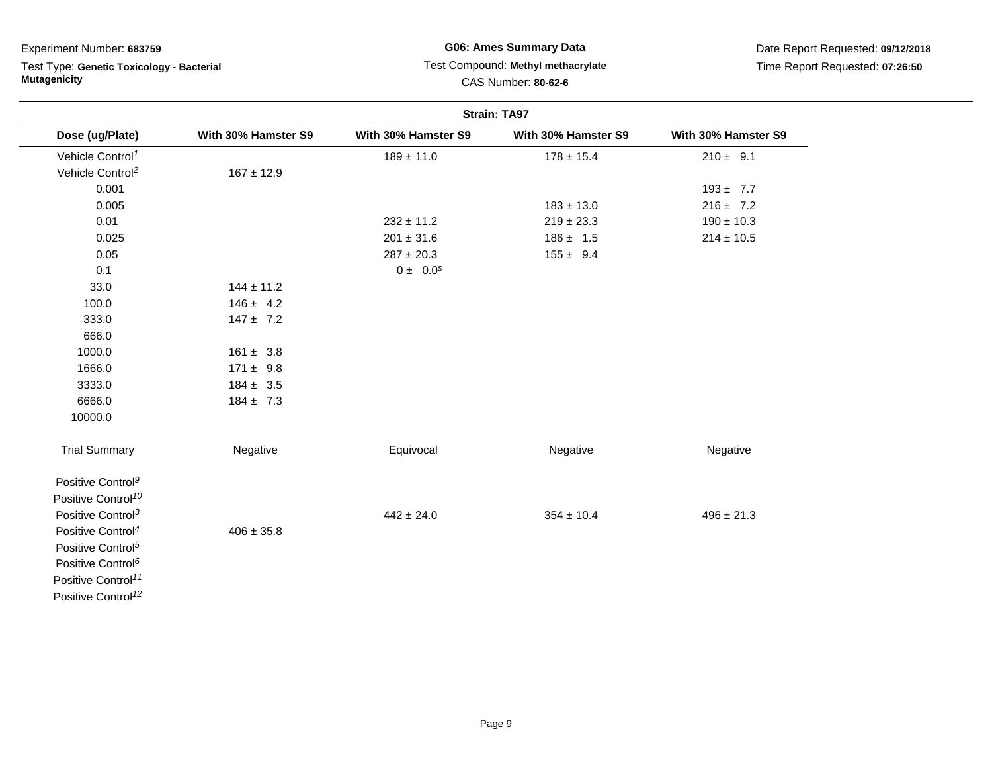# Test Type: **Genetic Toxicology - Bacterial Mutagenicity**

# **G06: Ames Summary Data** Test Compound: **Methyl methacrylate**CAS Number: **80-62-6**

|                                |                     |                     | <b>Strain: TA97</b> |                     |  |
|--------------------------------|---------------------|---------------------|---------------------|---------------------|--|
| Dose (ug/Plate)                | With 30% Hamster S9 | With 30% Hamster S9 | With 30% Hamster S9 | With 30% Hamster S9 |  |
| Vehicle Control <sup>1</sup>   |                     | $189 \pm 11.0$      | $178 \pm 15.4$      | $210 \pm 9.1$       |  |
| Vehicle Control <sup>2</sup>   | $167 \pm 12.9$      |                     |                     |                     |  |
| 0.001                          |                     |                     |                     | $193 \pm 7.7$       |  |
| 0.005                          |                     |                     | $183 \pm 13.0$      | $216 \pm 7.2$       |  |
| 0.01                           |                     | $232 \pm 11.2$      | $219 \pm 23.3$      | $190 \pm 10.3$      |  |
| 0.025                          |                     | $201 \pm 31.6$      | $186 \pm 1.5$       | $214 \pm 10.5$      |  |
| 0.05                           |                     | $287 \pm 20.3$      | $155 \pm 9.4$       |                     |  |
| 0.1                            |                     | $0 \pm 0.0^s$       |                     |                     |  |
| 33.0                           | $144 \pm 11.2$      |                     |                     |                     |  |
| 100.0                          | $146 \pm 4.2$       |                     |                     |                     |  |
| 333.0                          | $147 \pm 7.2$       |                     |                     |                     |  |
| 666.0                          |                     |                     |                     |                     |  |
| 1000.0                         | $161 \pm 3.8$       |                     |                     |                     |  |
| 1666.0                         | $171 \pm 9.8$       |                     |                     |                     |  |
| 3333.0                         | $184 \pm 3.5$       |                     |                     |                     |  |
| 6666.0                         | $184 \pm 7.3$       |                     |                     |                     |  |
| 10000.0                        |                     |                     |                     |                     |  |
| <b>Trial Summary</b>           | Negative            | Equivocal           | Negative            | Negative            |  |
| Positive Control <sup>9</sup>  |                     |                     |                     |                     |  |
| Positive Control <sup>10</sup> |                     |                     |                     |                     |  |
| Positive Control <sup>3</sup>  |                     | $442 \pm 24.0$      | $354 \pm 10.4$      | $496 \pm 21.3$      |  |
| Positive Control <sup>4</sup>  | $406 \pm 35.8$      |                     |                     |                     |  |
| Positive Control <sup>5</sup>  |                     |                     |                     |                     |  |
| Positive Control <sup>6</sup>  |                     |                     |                     |                     |  |
| Positive Control <sup>11</sup> |                     |                     |                     |                     |  |
| Positive Control <sup>12</sup> |                     |                     |                     |                     |  |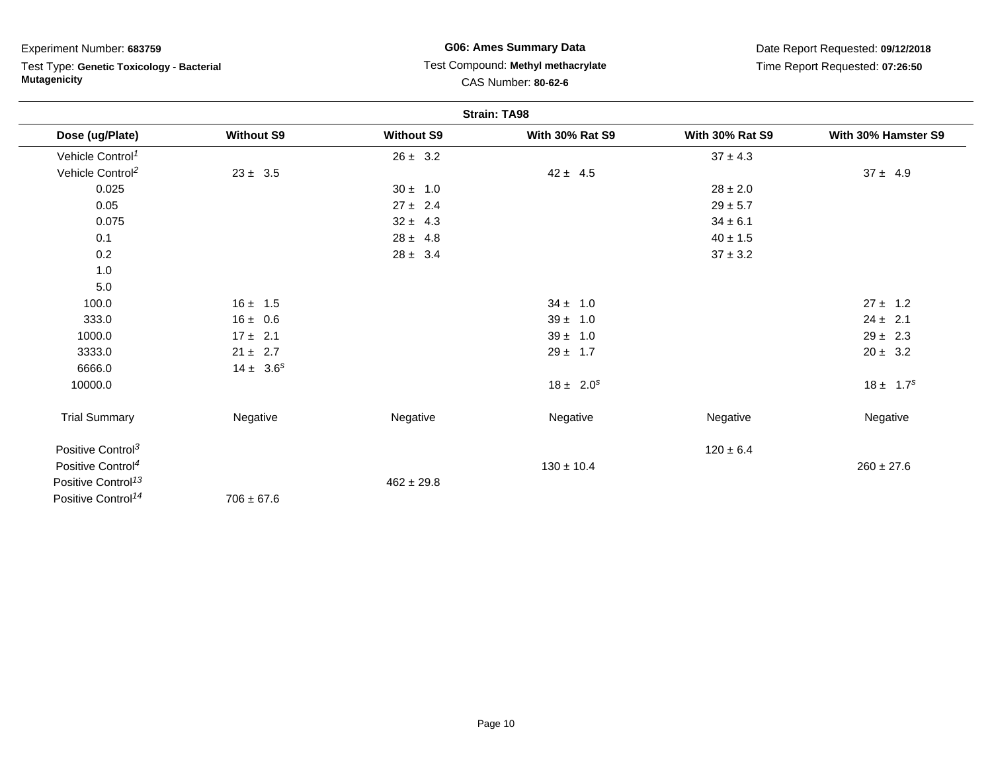Test Type: **Genetic Toxicology - Bacterial Mutagenicity**

## **G06: Ames Summary Data** Test Compound: **Methyl methacrylate**CAS Number: **80-62-6**

|                                |                   |                   | <b>Strain: TA98</b>    |                        |                     |
|--------------------------------|-------------------|-------------------|------------------------|------------------------|---------------------|
| Dose (ug/Plate)                | <b>Without S9</b> | <b>Without S9</b> | <b>With 30% Rat S9</b> | <b>With 30% Rat S9</b> | With 30% Hamster S9 |
| Vehicle Control <sup>1</sup>   |                   | $26 \pm 3.2$      |                        | $37 \pm 4.3$           |                     |
| Vehicle Control <sup>2</sup>   | $23 \pm 3.5$      |                   | $42 \pm 4.5$           |                        | $37 \pm 4.9$        |
| 0.025                          |                   | $30 \pm 1.0$      |                        | $28 \pm 2.0$           |                     |
| 0.05                           |                   | $27 \pm 2.4$      |                        | $29 \pm 5.7$           |                     |
| 0.075                          |                   | $32 \pm 4.3$      |                        | $34 \pm 6.1$           |                     |
| 0.1                            |                   | $28 \pm 4.8$      |                        | $40 \pm 1.5$           |                     |
| 0.2                            |                   | $28 \pm 3.4$      |                        | $37\pm3.2$             |                     |
| 1.0                            |                   |                   |                        |                        |                     |
| 5.0                            |                   |                   |                        |                        |                     |
| 100.0                          | $16 \pm 1.5$      |                   | $34 \pm 1.0$           |                        | $27 \pm 1.2$        |
| 333.0                          | $16 \pm 0.6$      |                   | $39 \pm 1.0$           |                        | $24 \pm 2.1$        |
| 1000.0                         | $17 \pm 2.1$      |                   | $39 \pm 1.0$           |                        | $29 \pm 2.3$        |
| 3333.0                         | $21 \pm 2.7$      |                   | $29 \pm 1.7$           |                        | $20 \pm 3.2$        |
| 6666.0                         | $14 \pm 3.6^s$    |                   |                        |                        |                     |
| 10000.0                        |                   |                   | $18 \pm 2.0^s$         |                        | $18 \pm 1.7^s$      |
| <b>Trial Summary</b>           | Negative          | Negative          | Negative               | Negative               | Negative            |
| Positive Control <sup>3</sup>  |                   |                   |                        | $120 \pm 6.4$          |                     |
| Positive Control <sup>4</sup>  |                   |                   | $130 \pm 10.4$         |                        | $260 \pm 27.6$      |
| Positive Control <sup>13</sup> |                   | $462 \pm 29.8$    |                        |                        |                     |
| Positive Control <sup>14</sup> | $706 \pm 67.6$    |                   |                        |                        |                     |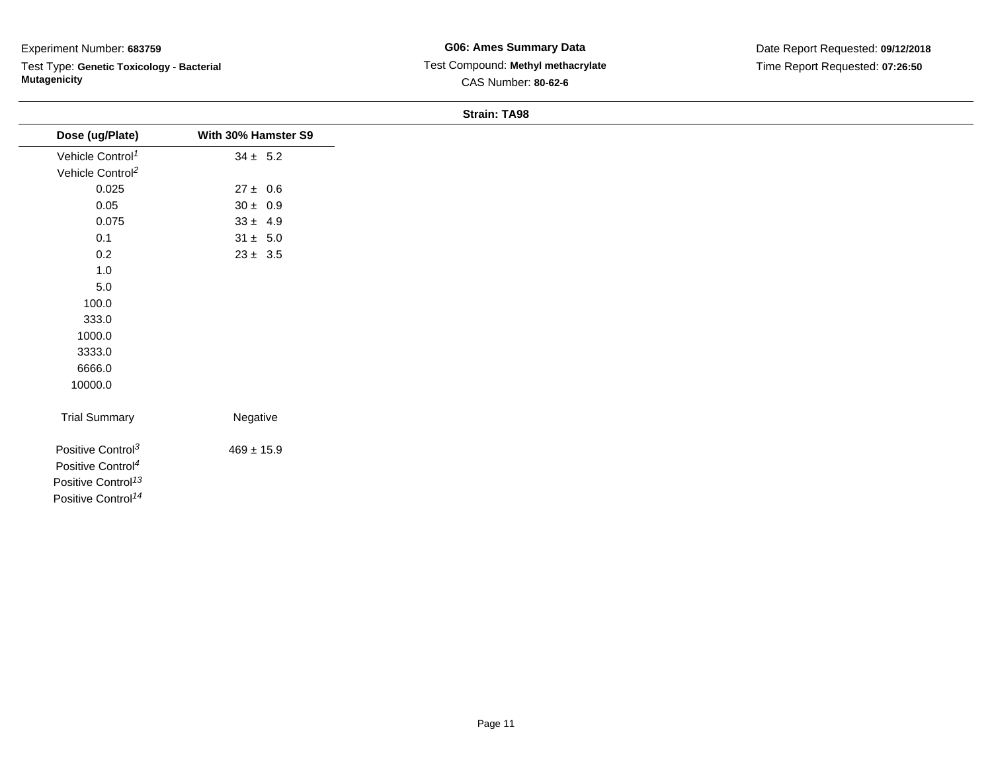Test Type: **Genetic Toxicology - Bacterial Mutagenicity**

**G06: Ames Summary Data** Test Compound: **Methyl methacrylate**CAS Number: **80-62-6**

Date Report Requested: **09/12/2018**Time Report Requested: **07:26:50**

#### **Strain: TA98**

| Dose (ug/Plate)                | With 30% Hamster S9 |
|--------------------------------|---------------------|
| Vehicle Control <sup>1</sup>   | $34 \pm 5.2$        |
| Vehicle Control <sup>2</sup>   |                     |
| 0.025                          | $27 \pm 0.6$        |
| 0.05                           | $30 \pm 0.9$        |
| 0.075                          | $33 \pm 4.9$        |
| 0.1                            | $31 \pm 5.0$        |
| 0.2                            | $23 \pm 3.5$        |
| $1.0$                          |                     |
| $5.0\,$                        |                     |
| 100.0                          |                     |
| 333.0                          |                     |
| 1000.0                         |                     |
| 3333.0                         |                     |
| 6666.0                         |                     |
| 10000.0                        |                     |
|                                |                     |
| <b>Trial Summary</b>           | Negative            |
| Positive Control <sup>3</sup>  | $469 \pm 15.9$      |
| Positive Control <sup>4</sup>  |                     |
| Positive Control <sup>13</sup> |                     |
| Positive Control <sup>14</sup> |                     |
|                                |                     |